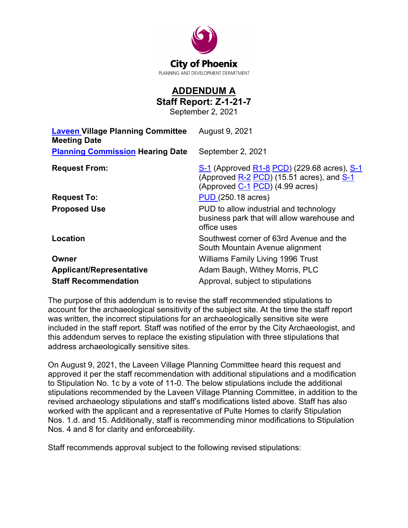

## **ADDENDUM A Staff Report: Z-1-21-7**

September 2, 2021

| <b>Laveen Village Planning Committee</b><br><b>Meeting Date</b> | August 9, 2021                                                                                                              |
|-----------------------------------------------------------------|-----------------------------------------------------------------------------------------------------------------------------|
| <b>Planning Commission Hearing Date</b>                         | September 2, 2021                                                                                                           |
| <b>Request From:</b>                                            | S-1 (Approved R1-8 PCD) (229.68 acres), S-1<br>(Approved R-2 PCD) (15.51 acres), and S-1<br>(Approved C-1 PCD) (4.99 acres) |
| <b>Request To:</b>                                              | <b>PUD (250.18 acres)</b>                                                                                                   |
| <b>Proposed Use</b>                                             | PUD to allow industrial and technology<br>business park that will allow warehouse and<br>office uses                        |
| Location                                                        | Southwest corner of 63rd Avenue and the<br>South Mountain Avenue alignment                                                  |
| Owner                                                           | <b>Williams Family Living 1996 Trust</b>                                                                                    |
| <b>Applicant/Representative</b>                                 | Adam Baugh, Withey Morris, PLC                                                                                              |
| <b>Staff Recommendation</b>                                     | Approval, subject to stipulations                                                                                           |

The purpose of this addendum is to revise the staff recommended stipulations to account for the archaeological sensitivity of the subject site. At the time the staff report was written, the incorrect stipulations for an archaeologically sensitive site were included in the staff report. Staff was notified of the error by the City Archaeologist, and this addendum serves to replace the existing stipulation with three stipulations that address archaeologically sensitive sites.

On August 9, 2021, the Laveen Village Planning Committee heard this request and approved it per the staff recommendation with additional stipulations and a modification to Stipulation No. 1c by a vote of 11-0. The below stipulations include the additional stipulations recommended by the Laveen Village Planning Committee, in addition to the revised archaeology stipulations and staff's modifications listed above. Staff has also worked with the applicant and a representative of Pulte Homes to clarify Stipulation Nos. 1.d. and 15. Additionally, staff is recommending minor modifications to Stipulation Nos. 4 and 8 for clarity and enforceability.

Staff recommends approval subject to the following revised stipulations: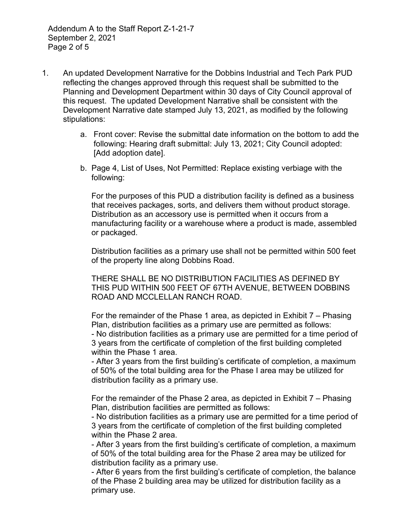Addendum A to the Staff Report Z-1-21-7 September 2, 2021 Page 2 of 5

- 1. An updated Development Narrative for the Dobbins Industrial and Tech Park PUD reflecting the changes approved through this request shall be submitted to the Planning and Development Department within 30 days of City Council approval of this request. The updated Development Narrative shall be consistent with the Development Narrative date stamped July 13, 2021, as modified by the following stipulations:
	- a. Front cover: Revise the submittal date information on the bottom to add the following: Hearing draft submittal: July 13, 2021; City Council adopted: [Add adoption date].
	- b. Page 4, List of Uses, Not Permitted: Replace existing verbiage with the following:

 For the purposes of this PUD a distribution facility is defined as a business that receives packages, sorts, and delivers them without product storage. Distribution as an accessory use is permitted when it occurs from a manufacturing facility or a warehouse where a product is made, assembled or packaged.

 Distribution facilities as a primary use shall not be permitted within 500 feet of the property line along Dobbins Road.

 THERE SHALL BE NO DISTRIBUTION FACILITIES AS DEFINED BY THIS PUD WITHIN 500 FEET OF 67TH AVENUE, BETWEEN DOBBINS ROAD AND MCCLELLAN RANCH ROAD.

 For the remainder of the Phase 1 area, as depicted in Exhibit 7 – Phasing Plan, distribution facilities as a primary use are permitted as follows: - No distribution facilities as a primary use are permitted for a time period of 3 years from the certificate of completion of the first building completed within the Phase 1 area.

 - After 3 years from the first building's certificate of completion, a maximum of 50% of the total building area for the Phase I area may be utilized for distribution facility as a primary use.

 For the remainder of the Phase 2 area, as depicted in Exhibit 7 – Phasing Plan, distribution facilities are permitted as follows:

 - No distribution facilities as a primary use are permitted for a time period of 3 years from the certificate of completion of the first building completed within the Phase 2 area.

 - After 3 years from the first building's certificate of completion, a maximum of 50% of the total building area for the Phase 2 area may be utilized for distribution facility as a primary use.

 - After 6 years from the first building's certificate of completion, the balance of the Phase 2 building area may be utilized for distribution facility as a primary use.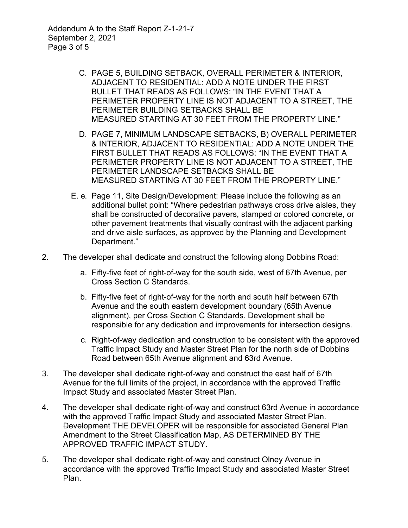Addendum A to the Staff Report Z-1-21-7 September 2, 2021 Page 3 of 5

- C. PAGE 5, BUILDING SETBACK, OVERALL PERIMETER & INTERIOR, ADJACENT TO RESIDENTIAL: ADD A NOTE UNDER THE FIRST BULLET THAT READS AS FOLLOWS: "IN THE EVENT THAT A PERIMETER PROPERTY LINE IS NOT ADJACENT TO A STREET, THE PERIMETER BUILDING SETBACKS SHALL BE MEASURED STARTING AT 30 FEET FROM THE PROPERTY LINE."
- D. PAGE 7, MINIMUM LANDSCAPE SETBACKS, B) OVERALL PERIMETER & INTERIOR, ADJACENT TO RESIDENTIAL: ADD A NOTE UNDER THE FIRST BULLET THAT READS AS FOLLOWS: "IN THE EVENT THAT A PERIMETER PROPERTY LINE IS NOT ADJACENT TO A STREET, THE PERIMETER LANDSCAPE SETBACKS SHALL BE MEASURED STARTING AT 30 FEET FROM THE PROPERTY LINE."
- E. c. Page 11, Site Design/Development: Please include the following as an additional bullet point: "Where pedestrian pathways cross drive aisles, they shall be constructed of decorative pavers, stamped or colored concrete, or other pavement treatments that visually contrast with the adjacent parking and drive aisle surfaces, as approved by the Planning and Development Department."
- 2. The developer shall dedicate and construct the following along Dobbins Road:
	- a. Fifty-five feet of right-of-way for the south side, west of 67th Avenue, per Cross Section C Standards.
	- b. Fifty-five feet of right-of-way for the north and south half between 67th Avenue and the south eastern development boundary (65th Avenue alignment), per Cross Section C Standards. Development shall be responsible for any dedication and improvements for intersection designs.
	- c. Right-of-way dedication and construction to be consistent with the approved Traffic Impact Study and Master Street Plan for the north side of Dobbins Road between 65th Avenue alignment and 63rd Avenue.
- 3. The developer shall dedicate right-of-way and construct the east half of 67th Avenue for the full limits of the project, in accordance with the approved Traffic Impact Study and associated Master Street Plan.
- 4. The developer shall dedicate right-of-way and construct 63rd Avenue in accordance with the approved Traffic Impact Study and associated Master Street Plan. Development THE DEVELOPER will be responsible for associated General Plan Amendment to the Street Classification Map, AS DETERMINED BY THE APPROVED TRAFFIC IMPACT STUDY.
- 5. The developer shall dedicate right-of-way and construct Olney Avenue in accordance with the approved Traffic Impact Study and associated Master Street Plan.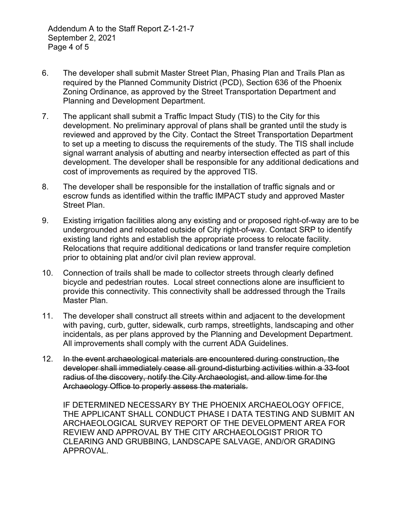Addendum A to the Staff Report Z-1-21-7 September 2, 2021 Page 4 of 5

- 6. The developer shall submit Master Street Plan, Phasing Plan and Trails Plan as required by the Planned Community District (PCD), Section 636 of the Phoenix Zoning Ordinance, as approved by the Street Transportation Department and Planning and Development Department.
- 7. The applicant shall submit a Traffic Impact Study (TIS) to the City for this development. No preliminary approval of plans shall be granted until the study is reviewed and approved by the City. Contact the Street Transportation Department to set up a meeting to discuss the requirements of the study. The TIS shall include signal warrant analysis of abutting and nearby intersection effected as part of this development. The developer shall be responsible for any additional dedications and cost of improvements as required by the approved TIS.
- 8. The developer shall be responsible for the installation of traffic signals and or escrow funds as identified within the traffic IMPACT study and approved Master Street Plan.
- 9. Existing irrigation facilities along any existing and or proposed right-of-way are to be undergrounded and relocated outside of City right-of-way. Contact SRP to identify existing land rights and establish the appropriate process to relocate facility. Relocations that require additional dedications or land transfer require completion prior to obtaining plat and/or civil plan review approval.
- 10. Connection of trails shall be made to collector streets through clearly defined bicycle and pedestrian routes. Local street connections alone are insufficient to provide this connectivity. This connectivity shall be addressed through the Trails Master Plan.
- 11. The developer shall construct all streets within and adjacent to the development with paving, curb, gutter, sidewalk, curb ramps, streetlights, landscaping and other incidentals, as per plans approved by the Planning and Development Department. All improvements shall comply with the current ADA Guidelines.
- 12. In the event archaeological materials are encountered during construction, the developer shall immediately cease all ground-disturbing activities within a 33-foot radius of the discovery, notify the City Archaeologist, and allow time for the Archaeology Office to properly assess the materials.

IF DETERMINED NECESSARY BY THE PHOENIX ARCHAEOLOGY OFFICE, THE APPLICANT SHALL CONDUCT PHASE I DATA TESTING AND SUBMIT AN ARCHAEOLOGICAL SURVEY REPORT OF THE DEVELOPMENT AREA FOR REVIEW AND APPROVAL BY THE CITY ARCHAEOLOGIST PRIOR TO CLEARING AND GRUBBING, LANDSCAPE SALVAGE, AND/OR GRADING APPROVAL.